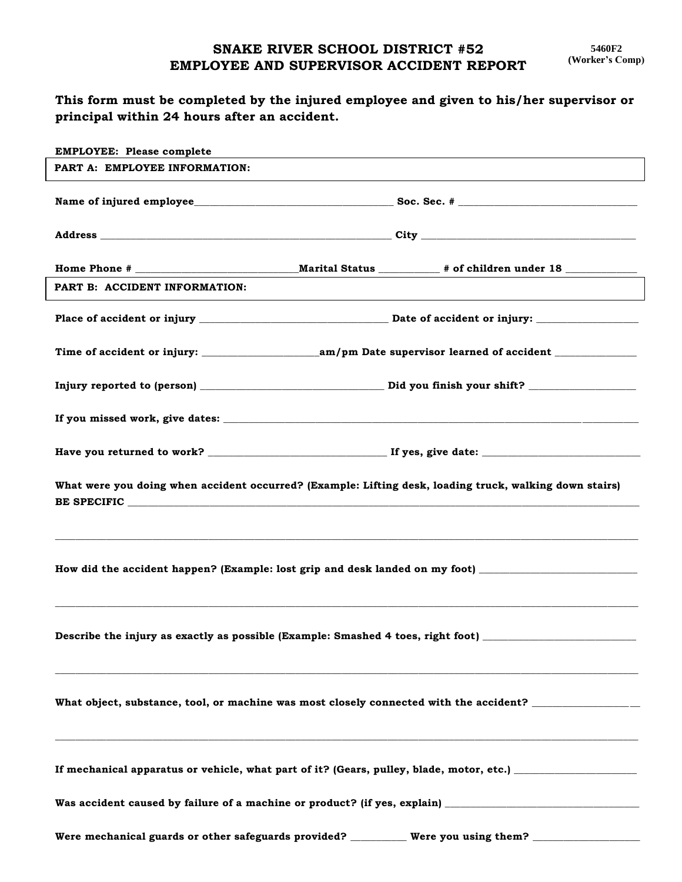## **SNAKE RIVER SCHOOL DISTRICT #52 EMPLOYEE AND SUPERVISOR ACCIDENT REPORT**

## **This form must be completed by the injured employee and given to his/her supervisor or principal within 24 hours after an accident.**

| <b>EMPLOYEE: Please complete</b>                                                 |                                                                                                           |  |  |
|----------------------------------------------------------------------------------|-----------------------------------------------------------------------------------------------------------|--|--|
| PART A: EMPLOYEE INFORMATION:                                                    |                                                                                                           |  |  |
|                                                                                  |                                                                                                           |  |  |
|                                                                                  |                                                                                                           |  |  |
|                                                                                  |                                                                                                           |  |  |
| PART B: ACCIDENT INFORMATION:                                                    |                                                                                                           |  |  |
|                                                                                  |                                                                                                           |  |  |
|                                                                                  |                                                                                                           |  |  |
|                                                                                  |                                                                                                           |  |  |
|                                                                                  |                                                                                                           |  |  |
|                                                                                  |                                                                                                           |  |  |
|                                                                                  | What were you doing when accident occurred? (Example: Lifting desk, loading truck, walking down stairs)   |  |  |
|                                                                                  | How did the accident happen? (Example: lost grip and desk landed on my foot) _______________________      |  |  |
| Describe the injury as exactly as possible (Example: Smashed 4 toes, right foot) |                                                                                                           |  |  |
|                                                                                  | What object, substance, tool, or machine was most closely connected with the accident? ______________     |  |  |
|                                                                                  | If mechanical apparatus or vehicle, what part of it? (Gears, pulley, blade, motor, etc.) ________________ |  |  |
|                                                                                  |                                                                                                           |  |  |
|                                                                                  | Were mechanical guards or other safeguards provided? __________ Were you using them? _______________      |  |  |